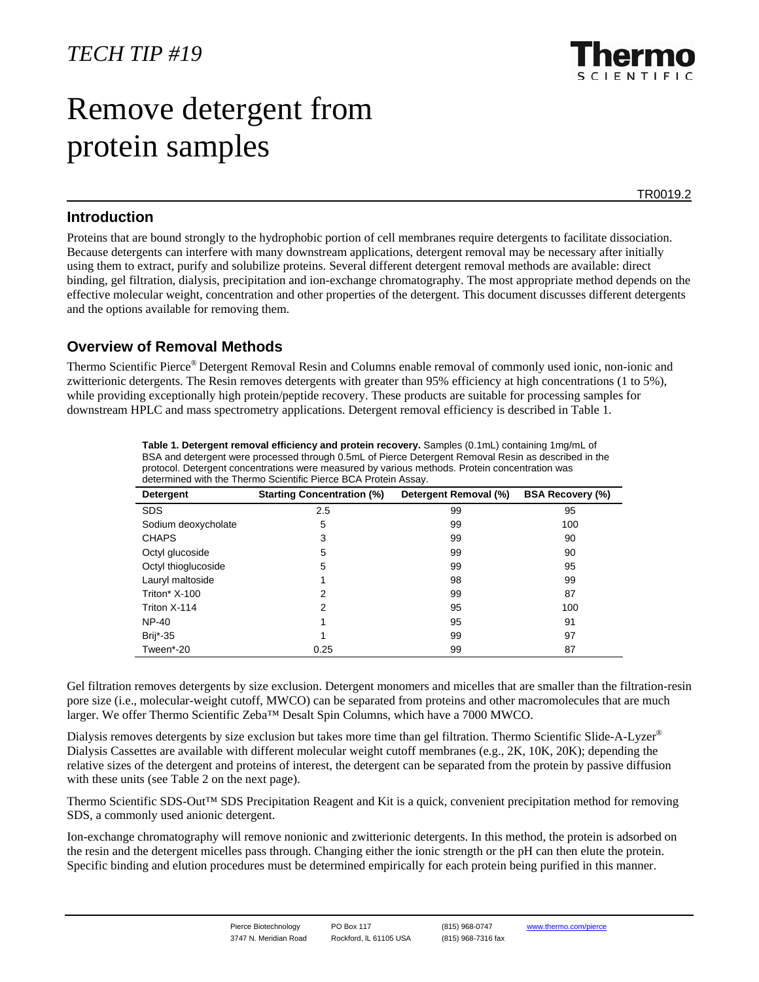# Remove detergent from protein samples

TR0019.2

#### **Introduction**

Proteins that are bound strongly to the hydrophobic portion of cell membranes require detergents to facilitate dissociation. Because detergents can interfere with many downstream applications, detergent removal may be necessary after initially using them to extract, purify and solubilize proteins. Several different detergent removal methods are available: direct binding, gel filtration, dialysis, precipitation and ion-exchange chromatography. The most appropriate method depends on the effective molecular weight, concentration and other properties of the detergent. This document discusses different detergents and the options available for removing them.

## **Overview of Removal Methods**

Thermo Scientific Pierce® Detergent Removal Resin and Columns enable removal of commonly used ionic, non-ionic and zwitterionic detergents. The Resin removes detergents with greater than 95% efficiency at high concentrations (1 to 5%), while providing exceptionally high protein/peptide recovery. These products are suitable for processing samples for downstream HPLC and mass spectrometry applications. Detergent removal efficiency is described in Table 1.

| determined with the Thermo Scientific Pierce BCA Protein Assay. |                                   |                       |                         |  |  |  |  |  |  |
|-----------------------------------------------------------------|-----------------------------------|-----------------------|-------------------------|--|--|--|--|--|--|
| Detergent                                                       | <b>Starting Concentration (%)</b> | Detergent Removal (%) | <b>BSA Recovery (%)</b> |  |  |  |  |  |  |
| <b>SDS</b>                                                      | 2.5                               | 99                    | 95                      |  |  |  |  |  |  |
| Sodium deoxycholate                                             | 5                                 | 99                    | 100                     |  |  |  |  |  |  |
| <b>CHAPS</b>                                                    | 3                                 | 99                    | 90                      |  |  |  |  |  |  |
| Octyl glucoside                                                 | 5                                 | 99                    | 90                      |  |  |  |  |  |  |
| Octyl thioglucoside                                             | 5                                 | 99                    | 95                      |  |  |  |  |  |  |
| Lauryl maltoside                                                |                                   | 98                    | 99                      |  |  |  |  |  |  |
| Triton* X-100                                                   | 2                                 | 99                    | 87                      |  |  |  |  |  |  |
| Triton X-114                                                    | 2                                 | 95                    | 100                     |  |  |  |  |  |  |
| <b>NP-40</b>                                                    |                                   | 95                    | 91                      |  |  |  |  |  |  |
| Brij*-35                                                        |                                   | 99                    | 97                      |  |  |  |  |  |  |
| Tween*-20                                                       | 0.25                              | 99                    | 87                      |  |  |  |  |  |  |

**Table 1. Detergent removal efficiency and protein recovery.** Samples (0.1mL) containing 1mg/mL of BSA and detergent were processed through 0.5mL of Pierce Detergent Removal Resin as described in the protocol. Detergent concentrations were measured by various methods. Protein concentration was determined with the Thermo Scientific Pierce BCA Protein Assay.

Gel filtration removes detergents by size exclusion. Detergent monomers and micelles that are smaller than the filtration-resin pore size (i.e., molecular-weight cutoff, MWCO) can be separated from proteins and other macromolecules that are much larger. We offer Thermo Scientific Zeba™ Desalt Spin Columns, which have a 7000 MWCO.

Dialysis removes detergents by size exclusion but takes more time than gel filtration. Thermo Scientific Slide-A-Lyzer® Dialysis Cassettes are available with different molecular weight cutoff membranes (e.g., 2K, 10K, 20K); depending the relative sizes of the detergent and proteins of interest, the detergent can be separated from the protein by passive diffusion with these units (see Table 2 on the next page).

Thermo Scientific SDS-Out™ SDS Precipitation Reagent and Kit is a quick, convenient precipitation method for removing SDS, a commonly used anionic detergent.

Ion-exchange chromatography will remove nonionic and zwitterionic detergents. In this method, the protein is adsorbed on the resin and the detergent micelles pass through. Changing either the ionic strength or the pH can then elute the protein. Specific binding and elution procedures must be determined empirically for each protein being purified in this manner.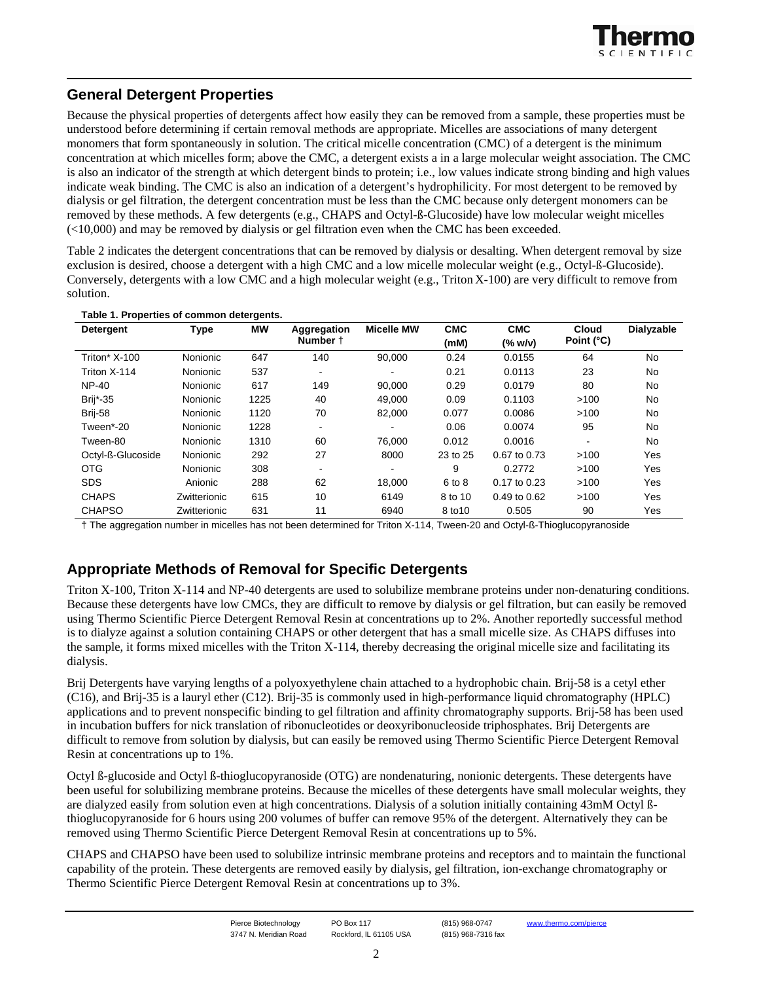## **General Detergent Properties**

Because the physical properties of detergents affect how easily they can be removed from a sample, these properties must be understood before determining if certain removal methods are appropriate. Micelles are associations of many detergent monomers that form spontaneously in solution. The critical micelle concentration (CMC) of a detergent is the minimum concentration at which micelles form; above the CMC, a detergent exists a in a large molecular weight association. The CMC is also an indicator of the strength at which detergent binds to protein; i.e., low values indicate strong binding and high values indicate weak binding. The CMC is also an indication of a detergent's hydrophilicity. For most detergent to be removed by dialysis or gel filtration, the detergent concentration must be less than the CMC because only detergent monomers can be removed by these methods. A few detergents (e.g., CHAPS and Octyl-ß-Glucoside) have low molecular weight micelles (<10,000) and may be removed by dialysis or gel filtration even when the CMC has been exceeded.

Table 2 indicates the detergent concentrations that can be removed by dialysis or desalting. When detergent removal by size exclusion is desired, choose a detergent with a high CMC and a low micelle molecular weight (e.g., Octyl-ß-Glucoside). Conversely, detergents with a low CMC and a high molecular weight (e.g., Triton X-100) are very difficult to remove from solution.

| Detergent         | <b>Type</b>     | МW   | Aggregation<br>Number +  | <b>Micelle MW</b> | <b>CMC</b><br>(mM) | <b>CMC</b><br>(% w/v) | <b>Cloud</b><br>Point (°C) | Dialyzable |
|-------------------|-----------------|------|--------------------------|-------------------|--------------------|-----------------------|----------------------------|------------|
|                   |                 |      |                          |                   |                    |                       |                            |            |
| Triton* $X-100$   | Nonionic        | 647  | 140                      | 90.000            | 0.24               | 0.0155                | 64                         | No         |
| Triton X-114      | Nonionic        | 537  | $\overline{\phantom{a}}$ |                   | 0.21               | 0.0113                | 23                         | No         |
| <b>NP-40</b>      | <b>Nonionic</b> | 617  | 149                      | 90.000            | 0.29               | 0.0179                | 80                         | No         |
| Brij*-35          | Nonionic        | 1225 | 40                       | 49.000            | 0.09               | 0.1103                | >100                       | No         |
| Brij-58           | Nonionic        | 1120 | 70                       | 82,000            | 0.077              | 0.0086                | >100                       | No         |
| Tween*-20         | Nonionic        | 1228 | $\blacksquare$           |                   | 0.06               | 0.0074                | 95                         | No         |
| Tween-80          | Nonionic        | 1310 | 60                       | 76.000            | 0.012              | 0.0016                | ٠                          | No         |
| Octyl-ß-Glucoside | Nonionic        | 292  | 27                       | 8000              | 23 to 25           | 0.67 to 0.73          | >100                       | Yes        |
| <b>OTG</b>        | Nonionic        | 308  | $\blacksquare$           |                   | 9                  | 0.2772                | >100                       | Yes        |
| <b>SDS</b>        | Anionic         | 288  | 62                       | 18.000            | 6 to 8             | 0.17 to 0.23          | >100                       | Yes        |
| <b>CHAPS</b>      | Zwitterionic    | 615  | 10                       | 6149              | 8 to 10            | $0.49$ to $0.62$      | >100                       | Yes        |
| <b>CHAPSO</b>     | Zwitterionic    | 631  | 11                       | 6940              | 8 to 10            | 0.505                 | 90                         | Yes        |

#### **Table 1. Properties of common detergents.**

† The aggregation number in micelles has not been determined for Triton X-114, Tween-20 and Octyl-ß-Thioglucopyranoside

#### **Appropriate Methods of Removal for Specific Detergents**

Triton X-100, Triton X-114 and NP-40 detergents are used to solubilize membrane proteins under non-denaturing conditions. Because these detergents have low CMCs, they are difficult to remove by dialysis or gel filtration, but can easily be removed using Thermo Scientific Pierce Detergent Removal Resin at concentrations up to 2%. Another reportedly successful method is to dialyze against a solution containing CHAPS or other detergent that has a small micelle size. As CHAPS diffuses into the sample, it forms mixed micelles with the Triton X-114, thereby decreasing the original micelle size and facilitating its dialysis.

Brij Detergents have varying lengths of a polyoxyethylene chain attached to a hydrophobic chain. Brij-58 is a cetyl ether (C16), and Brij-35 is a lauryl ether (C12). Brij-35 is commonly used in high-performance liquid chromatography (HPLC) applications and to prevent nonspecific binding to gel filtration and affinity chromatography supports. Brij-58 has been used in incubation buffers for nick translation of ribonucleotides or deoxyribonucleoside triphosphates. Brij Detergents are difficult to remove from solution by dialysis, but can easily be removed using Thermo Scientific Pierce Detergent Removal Resin at concentrations up to 1%.

Octyl ß-glucoside and Octyl ß-thioglucopyranoside (OTG) are nondenaturing, nonionic detergents. These detergents have been useful for solubilizing membrane proteins. Because the micelles of these detergents have small molecular weights, they are dialyzed easily from solution even at high concentrations. Dialysis of a solution initially containing 43mM Octyl ßthioglucopyranoside for 6 hours using 200 volumes of buffer can remove 95% of the detergent. Alternatively they can be removed using Thermo Scientific Pierce Detergent Removal Resin at concentrations up to 5%.

CHAPS and CHAPSO have been used to solubilize intrinsic membrane proteins and receptors and to maintain the functional capability of the protein. These detergents are removed easily by dialysis, gel filtration, ion-exchange chromatography or Thermo Scientific Pierce Detergent Removal Resin at concentrations up to 3%.